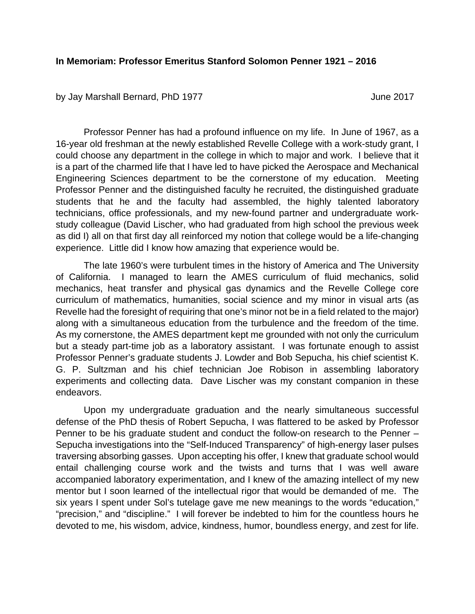## **In Memoriam: Professor Emeritus Stanford Solomon Penner 1921 – 2016**

by Jay Marshall Bernard, PhD 1977 **State 19 and 1977** June 2017

Professor Penner has had a profound influence on my life. In June of 1967, as a 16-year old freshman at the newly established Revelle College with a work-study grant, I could choose any department in the college in which to major and work. I believe that it is a part of the charmed life that I have led to have picked the Aerospace and Mechanical Engineering Sciences department to be the cornerstone of my education. Meeting Professor Penner and the distinguished faculty he recruited, the distinguished graduate students that he and the faculty had assembled, the highly talented laboratory technicians, office professionals, and my new-found partner and undergraduate workstudy colleague (David Lischer, who had graduated from high school the previous week as did I) all on that first day all reinforced my notion that college would be a life-changing experience. Little did I know how amazing that experience would be.

The late 1960's were turbulent times in the history of America and The University of California. I managed to learn the AMES curriculum of fluid mechanics, solid mechanics, heat transfer and physical gas dynamics and the Revelle College core curriculum of mathematics, humanities, social science and my minor in visual arts (as Revelle had the foresight of requiring that one's minor not be in a field related to the major) along with a simultaneous education from the turbulence and the freedom of the time. As my cornerstone, the AMES department kept me grounded with not only the curriculum but a steady part-time job as a laboratory assistant. I was fortunate enough to assist Professor Penner's graduate students J. Lowder and Bob Sepucha, his chief scientist K. G. P. Sultzman and his chief technician Joe Robison in assembling laboratory experiments and collecting data. Dave Lischer was my constant companion in these endeavors.

Upon my undergraduate graduation and the nearly simultaneous successful defense of the PhD thesis of Robert Sepucha, I was flattered to be asked by Professor Penner to be his graduate student and conduct the follow-on research to the Penner – Sepucha investigations into the "Self-Induced Transparency" of high-energy laser pulses traversing absorbing gasses. Upon accepting his offer, I knew that graduate school would entail challenging course work and the twists and turns that I was well aware accompanied laboratory experimentation, and I knew of the amazing intellect of my new mentor but I soon learned of the intellectual rigor that would be demanded of me. The six years I spent under Sol's tutelage gave me new meanings to the words "education," "precision," and "discipline." I will forever be indebted to him for the countless hours he devoted to me, his wisdom, advice, kindness, humor, boundless energy, and zest for life.